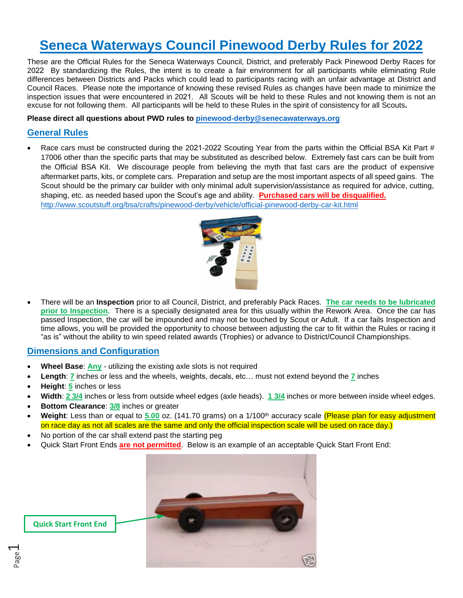# **Seneca Waterways Council Pinewood Derby Rules for 2022**

These are the Official Rules for the Seneca Waterways Council, District, and preferably Pack Pinewood Derby Races for 2022 By standardizing the Rules, the intent is to create a fair environment for all participants while eliminating Rule differences between Districts and Packs which could lead to participants racing with an unfair advantage at District and Council Races. Please note the importance of knowing these revised Rules as changes have been made to minimize the inspection issues that were encountered in 2021. All Scouts will be held to these Rules and not knowing them is not an excuse for not following them. All participants will be held to these Rules in the spirit of consistency for all Scouts**.** 

**Please direct all questions about PWD rules to [pinewood-derby@senecawaterways.org](mailto:pinewood-derby@senecawaterways.org)**

## **General Rules**

Race cars must be constructed during the 2021-2022 Scouting Year from the parts within the Official BSA Kit Part # 17006 other than the specific parts that may be substituted as described below. Extremely fast cars can be built from the Official BSA Kit. We discourage people from believing the myth that fast cars are the product of expensive aftermarket parts, kits, or complete cars. Preparation and setup are the most important aspects of all speed gains. The Scout should be the primary car builder with only minimal adult supervision/assistance as required for advice, cutting, shaping, etc. as needed based upon the Scout's age and ability. **Purchased cars will be disqualified.** <http://www.scoutstuff.org/bsa/crafts/pinewood-derby/vehicle/official-pinewood-derby-car-kit.html>



• There will be an **Inspection** prior to all Council, District, and preferably Pack Races. **The car needs to be lubricated prior to Inspection.** There is a specially designated area for this usually within the Rework Area. Once the car has passed Inspection, the car will be impounded and may not be touched by Scout or Adult. If a car fails Inspection and time allows, you will be provided the opportunity to choose between adjusting the car to fit within the Rules or racing it "as is" without the ability to win speed related awards (Trophies) or advance to District/Council Championships.

#### **Dimensions and Configuration**

- **Wheel Base**: **Any** utilizing the existing axle slots is not required
- **Length**: **7** inches or less and the wheels, weights, decals, etc… must not extend beyond the **7** inches
- **Height**: **5** inches or less
- **Width**: **2 3/4** inches or less from outside wheel edges (axle heads). **1 3/4** inches or more between inside wheel edges.
- **Bottom Clearance**: **3/8** inches or greater
- **Weight**: Less than or equal to **5.00** oz. (141.70 grams) on a 1/100 th accuracy scale (Please plan for easy adjustment on race day as not all scales are the same and only the official inspection scale will be used on race day.)
- No portion of the car shall extend past the starting peg
- Quick Start Front Ends **are not permitted**. Below is an example of an acceptable Quick Start Front End:

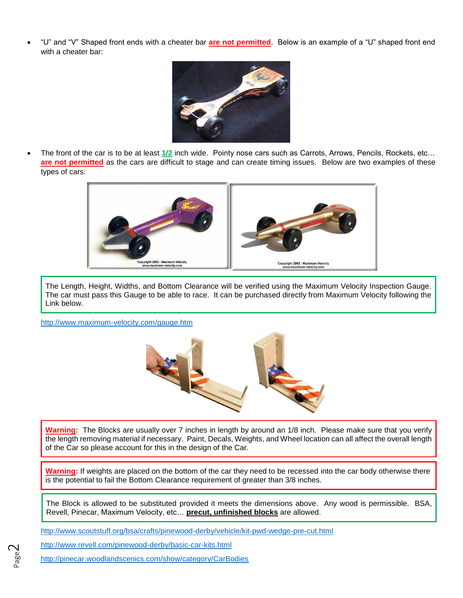• "U" and "V" Shaped front ends with a cheater bar **are not permitted**. Below is an example of a "U" shaped front end with a cheater bar:



• The front of the car is to be at least **1/2** inch wide. Pointy nose cars such as Carrots, Arrows, Pencils, Rockets, etc… are not permitted as the cars are difficult to stage and can create timing issues. Below are two examples of these types of cars:



The Length, Height, Widths, and Bottom Clearance will be verified using the Maximum Velocity Inspection Gauge. The car must pass this Gauge to be able to race. It can be purchased directly from Maximum Velocity following the Link below.

<http://www.maximum-velocity.com/gauge.htm>



**Warning:** The Blocks are usually over 7 inches in length by around an 1/8 inch. Please make sure that you verify the length removing material if necessary. Paint, Decals, Weights, and Wheel location can all affect the overall length of the Car so please account for this in the design of the Car.

**Warning:** If weights are placed on the bottom of the car they need to be recessed into the car body otherwise there is the potential to fail the Bottom Clearance requirement of greater than 3/8 inches.

The Block is allowed to be substituted provided it meets the dimensions above. Any wood is permissible. BSA, Revell, Pinecar, Maximum Velocity, etc… **precut, unfinished blocks** are allowed.

<http://www.scoutstuff.org/bsa/crafts/pinewood-derby/vehicle/kit-pwd-wedge-pre-cut.html>

<http://www.revell.com/pinewood-derby/basic-car-kits.html>

Page  $\mathrel{\sim}$ 

<http://pinecar.woodlandscenics.com/show/category/CarBodies>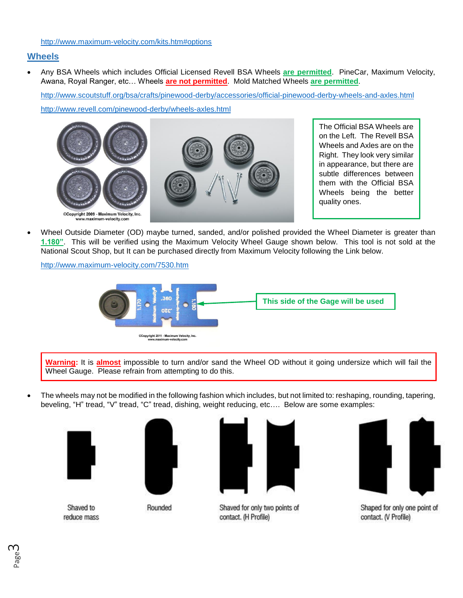#### **Wheels**

• Any BSA Wheels which includes Official Licensed Revell BSA Wheels **are permitted**. PineCar, Maximum Velocity, Awana, Royal Ranger, etc… Wheels **are not permitted**. Mold Matched Wheels **are permitted**.

<http://www.scoutstuff.org/bsa/crafts/pinewood-derby/accessories/official-pinewood-derby-wheels-and-axles.html> <http://www.revell.com/pinewood-derby/wheels-axles.html>



The Official BSA Wheels are on the Left. The Revell BSA Wheels and Axles are on the Right. They look very similar in appearance, but there are subtle differences between them with the Official BSA Wheels being the better quality ones.

• Wheel Outside Diameter (OD) maybe turned, sanded, and/or polished provided the Wheel Diameter is greater than **1.180"**. This will be verified using the Maximum Velocity Wheel Gauge shown below. This tool is not sold at the National Scout Shop, but It can be purchased directly from Maximum Velocity following the Link below.

<http://www.maximum-velocity.com/7530.htm>



**Warning:** It is **almost** impossible to turn and/or sand the Wheel OD without it going undersize which will fail the Wheel Gauge. Please refrain from attempting to do this.

• The wheels may not be modified in the following fashion which includes, but not limited to: reshaping, rounding, tapering, beveling, "H" tread, "V" tread, "C" tread, dishing, weight reducing, etc…. Below are some examples:



Shaved to reduce mass



Rounded



Shaved for only two points of contact. (H Profile)



Shaped for only one point of contact. (V Profile)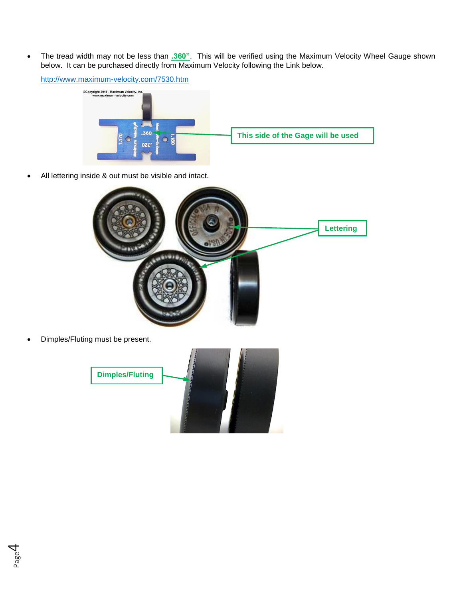• The tread width may not be less than **.360"**. This will be verified using the Maximum Velocity Wheel Gauge shown below. It can be purchased directly from Maximum Velocity following the Link below.

<http://www.maximum-velocity.com/7530.htm>



• All lettering inside & out must be visible and intact.



• Dimples/Fluting must be present.